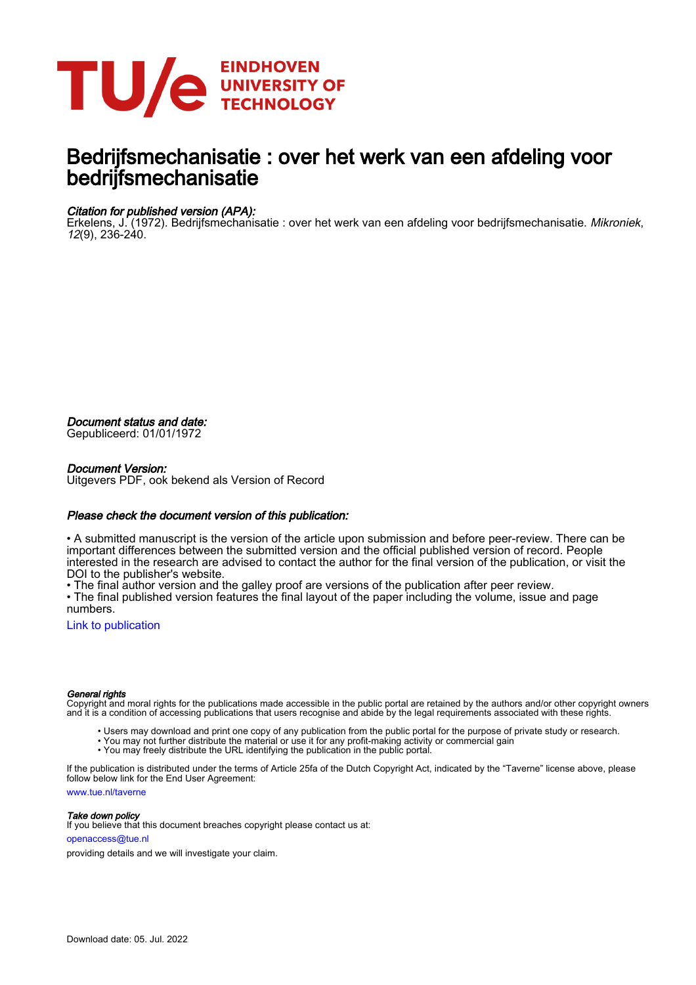

# Bedrijfsmechanisatie : over het werk van een afdeling voor bedrijfsmechanisatie

#### Citation for published version (APA):

Erkelens, J. (1972). Bedrijfsmechanisatie : over het werk van een afdeling voor bedrijfsmechanisatie. Mikroniek, 12(9), 236-240.

Document status and date:

Gepubliceerd: 01/01/1972

#### Document Version:

Uitgevers PDF, ook bekend als Version of Record

#### Please check the document version of this publication:

• A submitted manuscript is the version of the article upon submission and before peer-review. There can be important differences between the submitted version and the official published version of record. People interested in the research are advised to contact the author for the final version of the publication, or visit the DOI to the publisher's website.

• The final author version and the galley proof are versions of the publication after peer review.

• The final published version features the final layout of the paper including the volume, issue and page numbers.

[Link to publication](https://research.tue.nl/nl/publications/1e2d57b5-cedc-4295-a798-b3ab26e6a4f5)

#### General rights

Copyright and moral rights for the publications made accessible in the public portal are retained by the authors and/or other copyright owners and it is a condition of accessing publications that users recognise and abide by the legal requirements associated with these rights.

- Users may download and print one copy of any publication from the public portal for the purpose of private study or research.
- You may not further distribute the material or use it for any profit-making activity or commercial gain
- You may freely distribute the URL identifying the publication in the public portal.

If the publication is distributed under the terms of Article 25fa of the Dutch Copyright Act, indicated by the "Taverne" license above, please follow below link for the End User Agreement:

www.tue.nl/taverne

**Take down policy**<br>If you believe that this document breaches copyright please contact us at:

openaccess@tue.nl

providing details and we will investigate your claim.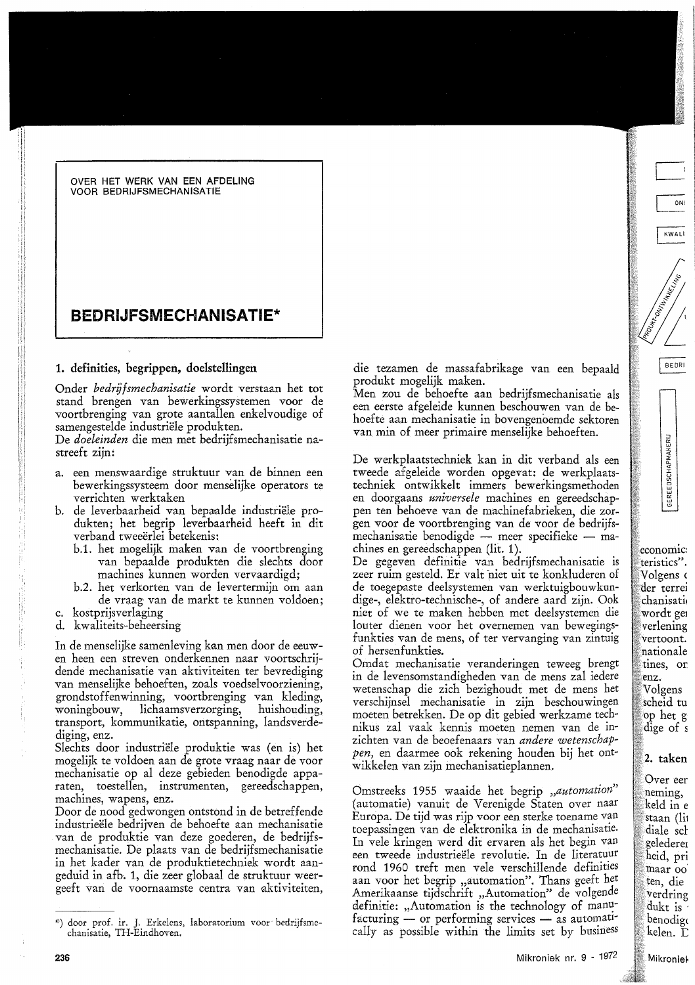#### OVER HET WERK VAN EEN AFDELING **VOOR BEDRIJFSMECHANISATIE**

## **REDRI.IFSMECHANISATIE\***

#### 1. definities, begrippen, doelstellingen

Onder bedrüfsmechanisatie wordt verstaan het tot stand brengen van bewerkingssystemen voor de voortbrenging van grote aantallen enkelvoudige of samengestelde industriële produkten.

De doeleinden die men met bedrijfsmechanisatie nastreeft zijn:

- a. een menswaardige struktuur van de binnen een bewerkingssysteem door menselijke operators te verrichten werktaken
- b. de leverbaarheid van bepaalde industriële produkten; het begrip leverbaarheid heeft in dit verband tweeerlei betekenis:
	- b.1. het mogelijk maken van de voortbrenging van bepaalde produkten die slechts door machines kunnen worden vervaardigd;
	- b.2. het verkorten van de levertermijn om aan de vraag van de markt te kunnen voldoen:
- c. kostprijsverlaging
- d. kwaliteits-beheersing

In de menselijke samenleving kan men door de eeuwen heen een streven onderkennen naar voortschrijdende mechanisatie van aktiviteiten ter bevrediging van menselijke behoeften, zoals voedselvoorziening, grondstoffenwinning, voortbrenging van kleding, woningbouw, lichaamsverzorging, huishouding, transport, kommunikatie, ontspanning, landsverdediging, enz.

Slechts door industriële produktie was (en is) het mogelijk te voldoen aan de grote vraag naar de voor mechanisatie op al deze gebieden benodigde apparaten, toestellen, instrumenten, gereedschappen, machines, wapens, enz.

Door de nood gedwongen ontstond in de betreffende industrieële bedrijven de behoefte aan mechanisatie van de produktie van deze goederen, de bedrijfsmechanisatie. De plaats van de bedrijfsmechanisatie in het kader van de produktietechniek wordt aangeduid in afb. 1, die zeer globaal de struktuur weergeeft van de voornaamste centra van aktiviteiten,

die tezamen de massafabrikage van een bepaald produkt mogelijk maken.

Men zou de behoefte aan bedrijfsmechanisatie als een eerste afgeleide kunnen beschouwen van de behoefte aan mechanisatie in bovengenoemde sektoren van min of meer primaire menselijke behoeften.

De werkplaatstechniek kan in dit verband als een tweede afgeleide worden opgevat: de werkplaatstechniek ontwikkelt immers bewerkingsmethoden en doorgaans universele machines en gereedschappen ten behoeve van de machinefabrieken, die zorgen voor de voortbrenging van de voor de bedrijfsmechanisatie benodigde — meer specifieke — machines en gereedschappen (lit. 1).

De gegeven definitie van bedrijfsmechanisatie is zeer ruim gesteld. Er valt niet uit te konkluderen of de toegepaste deelsystemen van werktuigbouwkundige-, elektro-technische-, of andere aard zijn. Ook niet of we te maken hebben met deelsystemen die louter dienen voor het overnemen van bewegingsfunkties van de mens, of ter vervanging van zintuig of hersenfunkties.

Omdat mechanisatie veranderingen teweeg brengt in de levensomstandigheden van de mens zal iedere wetenschap die zich bezighoudt met de mens het verschijnsel mechanisatie in zijn beschouwingen moeten betrekken. De op dit gebied werkzame technikus zal vaak kennis moeten nemen van de inzichten van de beoefenaars van andere wetenschap*pen*, en daarmee ook rekening houden bij het ontwikkelen van zijn mechanisatieplannen.

Omstreeks 1955 waaide het begrip "automation" (automatie) vanuit de Verenigde Staten over naar Europa. De tijd was rijp voor een sterke toename van toepassingen van de elektronika in de mechanisatie. In vele kringen werd dit ervaren als het begin van een tweede industrieële revolutie. In de literatuur rond 1960 treft men vele verschillende definities aan voor het begrip "automation". Thans geeft het Amerikaanse tijdschrift "Automation" de volgende definitie: "Automation is the technology of manufacturing — or performing services — as automatically as possible within the limits set by business

<sup>\*)</sup> door prof. ir. J. Erkelens, laboratorium voor bedrijfsme-chanisatie, TH-Eindhoven.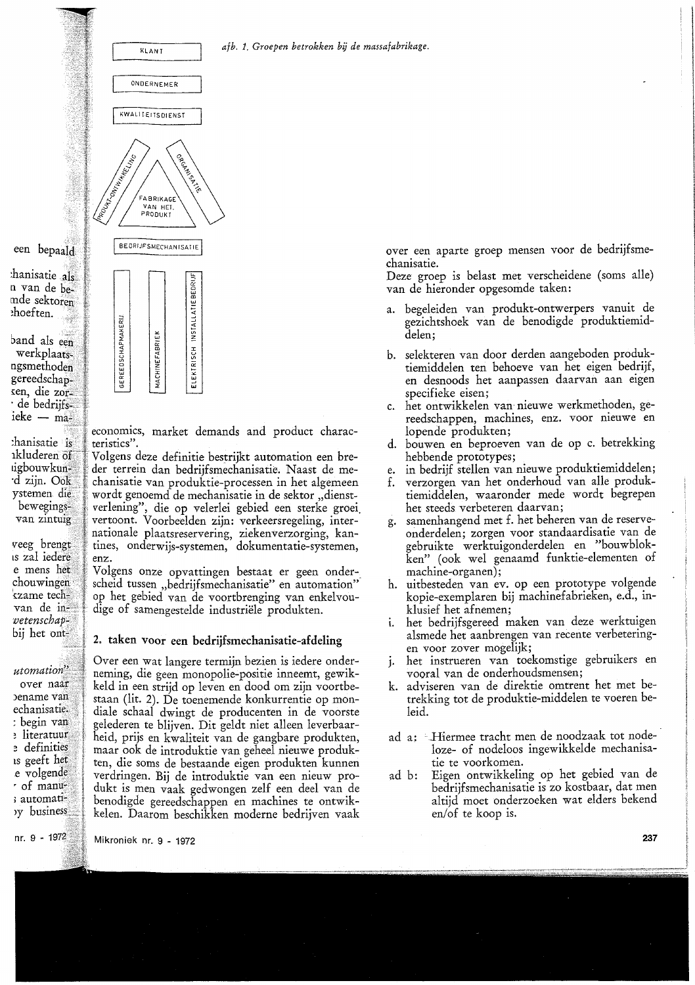



economics, market demands and product characteristics".

Volgens deze definitie bestrijkt automation een breder terrein dan bedrijfsmechanisatie. Naast de mechanisatie van produktie-processen in het algemeen wordt genoemd de mechanisatie in de sektor "dienstverlening", die op velerlei gebied een sterke groei vertoont. Voorbeelden zijn: verkeersregeling, internationale plaatsreservering, ziekenverzorging, kantines, onderwijs-systemen, dokumentatie-systemen, enz.

Volgens onze opvattingen bestaat er geen onderscheid tussen "bedrijfsmechanisatie" en automation" op het gebied van de voortbrenging van enkelvoudige of samengestelde industriële produkten.

### 2. taken voor een bedrijfsmechanisatie-afdeling

Over een wat langere termijn bezien is iedere onderneming, die geen monopolie-positie inneemt, gewikkeld in een strijd op leven en dood om zijn voortbestaan (lit. 2). De toenemende konkurrentie op mondiale schaal dwingt de producenten in de voorste gelederen te blijven. Dit geldt niet alleen leverbaarheid, prijs en kwaliteit van de gangbare produkten, maar ook de introduktie van geheel nieuwe produkten, die soms de bestaande eigen produkten kunnen verdringen. Bij de introduktie van een nieuw produkt is men vaak gedwongen zelf een deel van de benodigde gereedschappen en machines te ontwikkelen. Daarom beschikken moderne bedrijven vaak

over een aparte groep mensen voor de bedrijfsmechanisatie.

Deze groep is belast met verscheidene (soms alle) van de hieronder opgesomde taken:

- a. begeleiden van produkt-ontwerpers vanuit de gezichtshoek van de benodigde produktiemiddelen:
- b. selekteren van door derden aangeboden produktiemiddelen ten behoeve van het eigen bedrijf, en desnoods het aanpassen daarvan aan eigen specifieke eisen;
- c. het ontwikkelen van nieuwe werkmethoden, gereedschappen, machines, enz. voor nieuwe en lopende produkten;
- d. bouwen en beproeven van de op c. betrekking hebbende prototypes;
- in bedrijf stellen van nieuwe produktiemiddelen; e.
- verzorgen van het onderhoud van alle produkf. tiemiddelen, waaronder mede wordt begrepen het steeds verbeteren daarvan;
- samenhangend met f. het beheren van de reserveg. onderdelen; zorgen voor standaardisatie van de gebruikte werktuigonderdelen en "bouwblokken" (ook wel genaamd funktie-elementen of machine-organen);
- h. uitbesteden van ev. op een prototype volgende kopie-exemplaren bij machinefabrieken, e.d., inklusief het afnemen;
- het bedrijfsgereed maken van deze werktuigen alsmede het aanbrengen van recente verbeteringen voor zover mogelijk;
- het instrueren van toekomstige gebruikers en  $j_{\star}$ vooral van de onderhoudsmensen;
- k. adviseren van de direktie omtrent het met betrekking tot de produktie-middelen te voeren beleid.
- ad a: Hiermee tracht men de noodzaak tot nodeloze- of nodeloos ingewikkelde mechanisatie te voorkomen.
- Eigen ontwikkeling op het gebied van de ad b: bedrijfsmechanisatie is zo kostbaar, dat men altijd moet onderzoeken wat elders bekend en/of te koop is.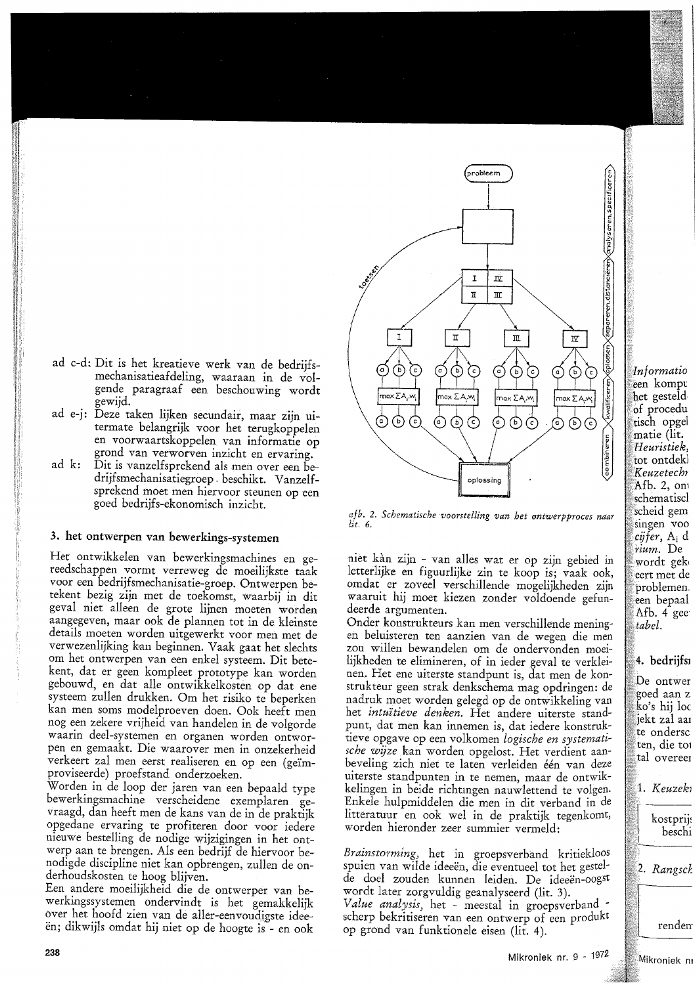- ad c-d: Dit is het kreatieve werk van de bedrijfsmechanisatieafdeling, waaraan in de volgende paragraaf een beschouwing wordt gewijd.
- ad e-j: Deze taken lijken secundair, maar zijn uitermate belangrijk voor het terugkoppelen en voorwaartskoppelen van informatie op grond van verworven inzicht en ervaring.
- $ad \, k$ : Dit is vanzelfsprekend als men over een bedrijfsmechanisatiegroep beschikt. Vanzelfsprekend moet men hiervoor steunen op een goed bedrijfs-ekonomisch inzicht.

#### 3. het ontwerpen van bewerkings-systemen

Het ontwikkelen van bewerkingsmachines en gereedschappen vormt verreweg de moeilijkste taak voor een bedrijfsmechanisatie-groep. Ontwerpen betekent bezig zijn met de toekomst, waarbij in dit geval niet alleen de grote lijnen moeten worden aangegeven, maar ook de plannen tot in de kleinste details moeten worden uitgewerkt voor men met de verwezenlijking kan beginnen. Vaak gaat het slechts om het ontwerpen van een enkel systeem. Dit betekent, dat er geen kompleet prototype kan worden gebouwd, en dat alle ontwikkelkosten op dat ene systeem zullen drukken. Om het risiko te beperken kan men soms modelproeven doen. Ook heeft men nog een zekere vrijheid van handelen in de volgorde waarin deel-systemen en organen worden ontworpen en gemaakt. Die waarover men in onzekerheid verkeert zal men eerst realiseren en op een (geïmproviseerde) proefstand onderzoeken.

Worden in de loop der jaren van een bepaald type bewerkingsmachine verscheidene exemplaren gevraagd, dan heeft men de kans van de in de praktijk opgedane ervaring te profiteren door voor iedere nieuwe bestelling de nodige wijzigingen in het ontwerp aan te brengen. Als een bedrijf de hiervoor benodigde discipline niet kan opbrengen, zullen de onderhoudskosten te hoog blijven.

Een andere moeilijkheid die de ontwerper van bewerkingssystemen ondervindt is het gemakkelijk over het hoofd zien van de aller-eenvoudigste ideeën; dikwijls omdat hij niet op de hoogte is - en ook



afb. 2. Schematische voorstelling van het entwerpproces naar  $\int$ it 6

niet kan zijn - van alles wat er op zijn gebied in letterlijke en figuurlijke zin te koop is; vaak ook, omdat er zoveel verschillende mogelijkheden zijn waaruit hij moet kiezen zonder voldoende gefundeerde argumenten.

Onder konstrukteurs kan men verschillende meningen beluisteren ten aanzien van de wegen die men zou willen bewandelen om de ondervonden moeilijkheden te elimineren, of in ieder geval te verkleinen. Het ene uiterste standpunt is, dat men de konstrukteur geen strak denkschema mag opdringen: de nadruk moet worden gelegd op de ontwikkeling van het *intuïtieve denken*. Het andere uiterste standpunt, dat men kan innemen is, dat iedere konstruktieve opgave op een volkomen logische en systematische wijze kan worden opgelost. Het verdient aanbeveling zich niet te laten verleiden één van deze uiterste standpunten in te nemen, maar de ontwikkelingen in beide richtingen nauwlettend te volgen. Enkele hulpmiddelen die men in dit verband in de litteratuur en ook wel in de praktijk tegenkomt, worden hieronder zeer summier vermeld:

Brainstorming, het in groepsverband kritiekloos spuien van wilde ideeën, die eventueel tot het gestelde doel zouden kunnen leiden. De ideeën-oogst wordt later zorgyuldig geanalyseerd (lit. 3). Value analysis, het - meestal in groepsverband scherp bekritiseren van een ontwerp of een produkt op grond van funktionele eisen (lit. 4).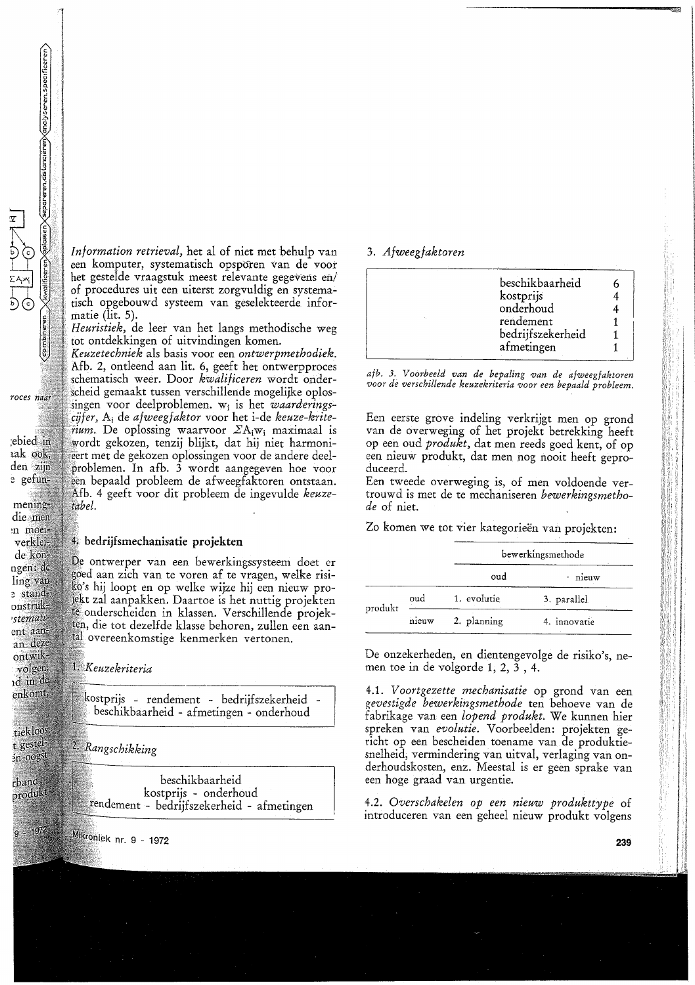Information retrieval, het al of niet met behulp van een komputer, systematisch opsporen van de voor het gestelde vraagstuk meest relevante gegevens en/ of procedures uit een uiterst zorgvuldig en systematisch opgebouwd systeem van geselekteerde informatie (lit.  $5$ ).

Heuristiek, de leer van het langs methodische weg tot ontdekkingen of uitvindingen komen.

Keuzetechniek als basis voor een ontwerpmethodiek. Afb. 2, ontleend aan lit. 6, geeft het ontwerpproces schematisch weer. Door kwalificeren wordt onderscheid gemaakt tussen verschillende mogelijke oplossingen voor deelproblemen. w<sub>i</sub> is het *waarderings*cijfer, A<sub>i</sub> de *afweegfaktor* voor het i-de *keuze-krite*rium. De oplossing waarvoor  $\sum A_i w_i$  maximaal is wordt gekozen, tenzij blijkt, dat hij niet harmonieert met de gekozen oplossingen voor de andere deelproblemen. In afb. 3 wordt aangegeven hoe voor een bepaald probleem de afweegfaktoren ontstaan. Afb. 4 geeft voor dit probleem de ingevulde keuzetabel.

#### 4. bedrijfsmechanisatie projekten

De ontwerper van een bewerkingssysteem doet er goed aan zich van te voren af te vragen, welke risiko's hij loopt en op welke wijze hij een nieuw projekt zal aanpakken. Daartoe is het nuttig projekten te onderscheiden in klassen. Verschillende projekten, die tot dezelfde klasse behoren, zullen een aantal overeenkomstige kenmerken vertonen.

1. Keuzekriteria

kostprijs - rendement - bedrijfszekerheid beschikbaarheid - afmetingen - onderhoud

2. Rangschikking

beschikbaarheid kostprijs - onderhoud fendement - bedrijfszekerheid - afmetingen

#### 3. Afweegfaktoren

| onderhoud         |                              |
|-------------------|------------------------------|
| rendement         |                              |
| bedrijfszekerheid |                              |
| afmetingen        |                              |
|                   | beschikbaarheid<br>kostprijs |

afb. 3. Voorbeeld van de bepaling van de afweegfaktoren voor de verschillende keuzekriteria voor een bepaald probleem.

Een eerste grove indeling verkrijgt men op grond van de overweging of het projekt betrekking heeft op een oud *produkt*, dat men reeds goed kent, of op een nieuw produkt, dat men nog nooit heeft geproduceerd.

Een tweede overweging is, of men voldoende vertrouwd is met de te mechaniseren bewerkingsmethode of niet.

Zo komen we tot vier kategorieën van projekten:

|         |       | bewerkingsmethode |              |  |  |  |  |
|---------|-------|-------------------|--------------|--|--|--|--|
|         |       | oud               | nieuw        |  |  |  |  |
| produkt | oud   | 1. evolutie       | 3. parallel  |  |  |  |  |
|         | nieuw | 2. planning       | 4. innovatie |  |  |  |  |

De onzekerheden, en dientengevolge de risiko's, nemen toe in de volgorde  $1, 2, 3, 4$ .

4.1. Voortgezette mechanisatie op grond van een gevestigde bewerkingsmethode ten behoeve van de fabrikage van een lopend produkt. We kunnen hier spreken van evolutie. Voorbeelden: projekten gericht op een bescheiden toename van de produktiesnelheid, vermindering van uitval, verlaging van onderhoudskosten, enz. Meestal is er geen sprake van een hoge graad van urgentie.

4.2. Overschakelen op een nieuw produkttype of introduceren van een geheel nieuw produkt volgens